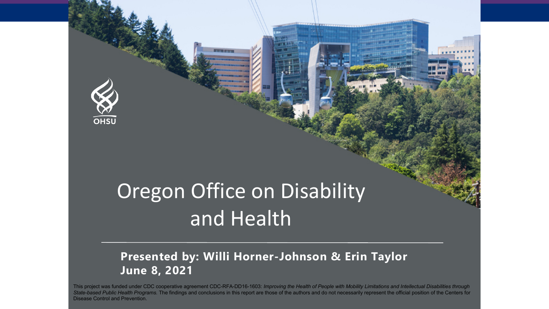

# Oregon Office on Disability and Health

#### **Presented by: Willi Horner-Johnson & Erin Taylor June 8, 2021**

This project was funded under CDC cooperative agreement CDC-RFA-DD16-1603: *Improving the Health of People with Mobility Limitations and Intellectual Disabilities through State-based Public Health Programs.* The findings and conclusions in this report are those of the authors and do not necessarily represent the official position of the Centers for Disease Control and Prevention.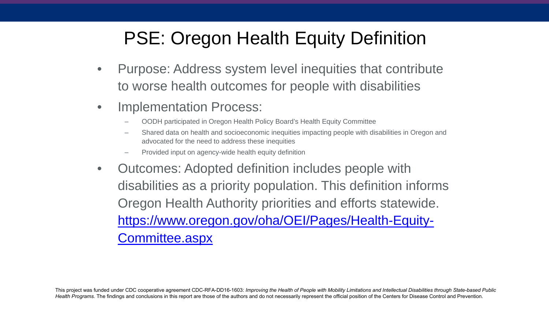### PSE: Oregon Health Equity Definition

- Purpose: Address system level inequities that contribute to worse health outcomes for people with disabilities
- Implementation Process:
	- OODH participated in Oregon Health Policy Board's Health Equity Committee
	- Shared data on health and socioeconomic inequities impacting people with disabilities in Oregon and advocated for the need to address these inequities
	- Provided input on agency-wide health equity definition
- Outcomes: Adopted definition includes people with disabilities as a priority population. This definition informs Oregon Health Authority priorities and efforts statewide. [https://www.oregon.gov/oha/OEI/Pages/Health-Equity-](https://www.oregon.gov/oha/OEI/Pages/Health-Equity-Committee.aspx)Committee.aspx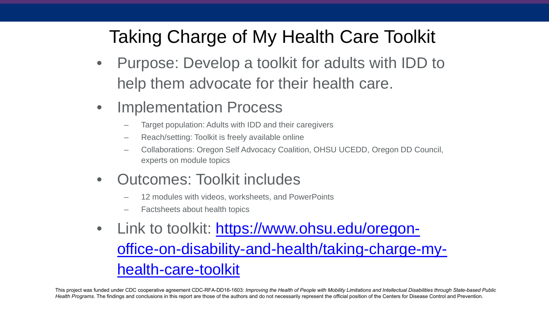### Taking Charge of My Health Care Toolkit

- Purpose: Develop a toolkit for adults with IDD to help them advocate for their health care.
- Implementation Process
	- Target population: Adults with IDD and their caregivers
	- Reach/setting: Toolkit is freely available online
	- Collaborations: Oregon Self Advocacy Coalition, OHSU UCEDD, Oregon DD Council, experts on module topics
- Outcomes: Toolkit includes
	- 12 modules with videos, worksheets, and PowerPoints
	- Factsheets about health topics
- Link to toolkit: https://www.ohsu.edu/oregon[office-on-disability-and-health/taking-charge-my](https://www.ohsu.edu/oregon-office-on-disability-and-health/taking-charge-my-health-care-toolkit)health-care-toolkit

This project was funded under CDC cooperative agreement CDC-RFA-DD16-1603: *Improving the Health of People with Mobility Limitations and Intellectual Disabilities through State-based Public* Health Programs. The findings and conclusions in this report are those of the authors and do not necessarily represent the official position of the Centers for Disease Control and Prevention.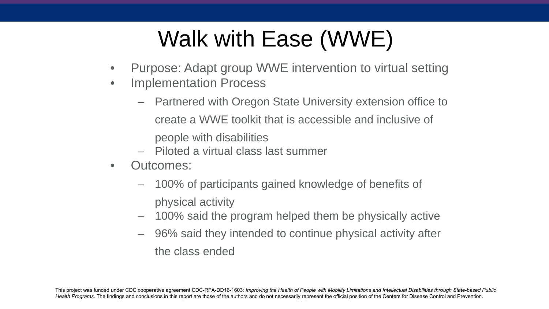# Walk with Ease (WWE)

- Purpose: Adapt group WWE intervention to virtual setting
- Implementation Process
	- Partnered with Oregon State University extension office to create a WWE toolkit that is accessible and inclusive of people with disabilities
	- Piloted a virtual class last summer
- Outcomes:
	- 100% of participants gained knowledge of benefits of physical activity
	- 100% said the program helped them be physically active
	- 96% said they intended to continue physical activity after the class ended